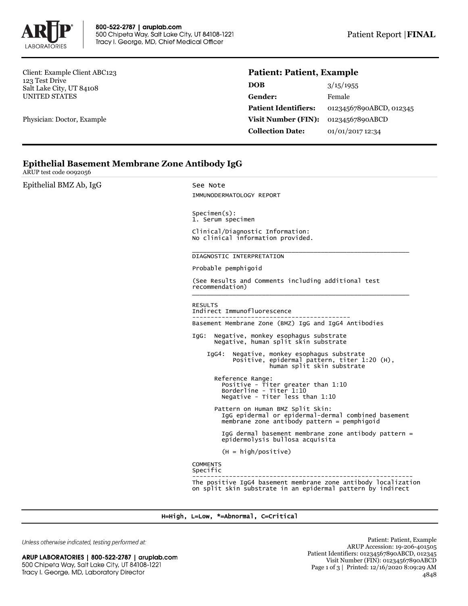

Client: Example Client ABC123 123 Test Drive Salt Lake City, UT 84108 UNITED STATES

Physician: Doctor, Example

## **Patient: Patient, Example**

| <b>DOB</b>                  | 3/15/1955               |
|-----------------------------|-------------------------|
| Gender:                     | Female                  |
| <b>Patient Identifiers:</b> | 01234567890ABCD, 012345 |
| Visit Number (FIN):         | 01234567890ABCD         |
| <b>Collection Date:</b>     | 01/01/2017 12:34        |

# **Epithelial Basement Membrane Zone Antibody IgG**

ARUP test code 0092056

Epithelial BMZ Ab, IgG See Note

IMMUNODERMATOLOGY REPORT Specimen(s): 1. Serum specimen Clinical/Diagnostic Information: No clinical information provided. \_\_\_\_\_\_\_\_\_\_\_\_\_\_\_\_\_\_\_\_\_\_\_\_\_\_\_\_\_\_\_\_\_\_\_\_\_\_\_\_\_\_\_\_\_\_\_\_\_\_\_\_\_\_\_\_\_\_\_ DIAGNOSTIC INTERPRETATION Probable pemphigoid (See Results and Comments including additional test recommendation) \_\_\_\_\_\_\_\_\_\_\_\_\_\_\_\_\_\_\_\_\_\_\_\_\_\_\_\_\_\_\_\_\_\_\_\_\_\_\_\_\_\_\_\_\_\_\_\_\_\_\_\_\_\_\_\_\_\_\_ RESULTS Indirect Immunofluorescence ------------------------------------------- Basement Membrane Zone (BMZ) IgG and IgG4 Antibodies IgG: Negative, monkey esophagus substrate Negative, human split skin substrate IgG4: Negative, monkey esophagus substrate Positive, epidermal pattern, titer 1:20 (H), human split skin substrate Reference Range: Positive - Titer greater than 1:10 Borderline - Titer 1:10 Negative - Titer less than 1:10 Pattern on Human BMZ Split Skin: IgG epidermal or epidermal-dermal combined basement membrane zone antibody pattern = pemphigoid IgG dermal basement membrane zone antibody pattern = epidermolysis bullosa acquisita (H = high/positive) **COMMENTS** Specific ------------------------------------------------------------ The positive IgG4 basement membrane zone antibody localization on split skin substrate in an epidermal pattern by indirect

### H=High, L=Low, \*=Abnormal, C=Critical

Unless otherwise indicated, testing performed at:

ARUP LABORATORIES | 800-522-2787 | aruplab.com 500 Chipeta Way, Salt Lake City, UT 84108-1221 Tracy I. George, MD, Laboratory Director

Patient: Patient, Example ARUP Accession: 19-206-401505 Patient Identifiers: 01234567890ABCD, 012345 Visit Number (FIN): 01234567890ABCD Page 1 of 3 | Printed: 12/16/2020 8:09:29 AM 4848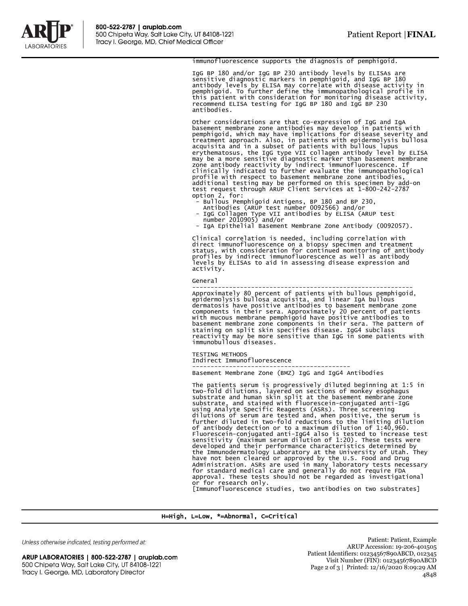

### immunofluorescence supports the diagnosis of pemphigoid.

IgG BP 180 and/or IgG BP 230 antibody levels by ELISAs are sensitive diagnostic markers in pemphigoid, and IgG BP 180 antibody levels by ELISA may correlate with disease activity in<br>pemphigoid. To further define the immunopathological profile in<br>this patient with consideration for monitoring disease activity,<br>recommend ELISA testing for I antibodies.

Other considerations are that co-expression of IgG and IgA basement membrane zone antibodies may develop in patients with pemphigoid, which may have implications for disease severity and treatment approach. Also, in patients with epidermolysis bullosa acquisita and in a subset of patients with bullous lupus erythematosus, the IgG type VII collagen antibody level by ELISA may be a more sensitive diagnostic marker than basement membrane zone antibody reactivity by indirect immunofluorescence. If clinically indicated to further evaluate the immunopathological profile with respect to basement membrane zone antibodies, additional testing may be performed on this specimen by add-on test request through ARUP Client Services at 1-800-242-2787 option 2, for:

- Bullous Pemphigoid Antigens, BP 180 and BP 230, Antibodies (ARUP test number 0092566) and/or
	-
- IgG Collagen Type VII antibodies by ELISA (ARUP test number 2010905) and/or

- IgA Epithelial Basement Membrane Zone Antibody (0092057).

Clinical correlation is needed, including correlation with direct immunofluorescence on a biopsy specimen and treatment status, with consideration for continued monitoring of antibody profiles by indirect immunofluorescence as well as antibody levels by ELISAs to aid in assessing disease expression and activity.

General

------------------------------------------------------------ Approximately 80 percent of patients with bullous pemphigoid, epidermolysis bullosa acquisita, and linear IgA bullous dermatosis have positive antibodies to basement membrane zone components in their sera. Approximately 20 percent of patients<br>with mucous membrane pemphigoid have positive antibodies to<br>basement membrane zone components in their sera. The pattern of<br>staining on split skin specifies di

TESTING METHODS Indirect Immunofluorescence ------------------------------------------- Basement Membrane Zone (BMZ) IgG and IgG4 Antibodies

The patients serum is progressively diluted beginning at 1:5 in two-fold dilutions, layered on sections of monkey esophagus substrate and human skin split at the basement membrane zone substrate, and stained with fluorescein-conjugated anti-IgG using Analyte Specific Reagents (ASRs). Three screening dilutions of serum are tested and, when positive, the serum is further diluted in two-fold reductions to the limiting dilution of antibody detection or to a maximum dilution of 1:40,960. Fluorescein-conjugated anti-IgG4 also is tested to increase test sensitivity (maximum serum dilution of 1:20). These tests were developed and their performance characteristics determined by the Immunodermatology Laboratory at the University of Utah. They have not been cleared or approved by the U.S. Food and Drug Administration. ASRs are used in many laboratory tests necessary for standard medical care and generally do not require FDA approval. These tests should not be regarded as investigational or for research only.

[Immunofluorescence studies, two antibodies on two substrates]

#### H=High, L=Low, \*=Abnormal, C=Critical

Unless otherwise indicated, testing performed at:

ARUP LABORATORIES | 800-522-2787 | aruplab.com 500 Chipeta Way, Salt Lake City, UT 84108-1221 Tracy I. George, MD, Laboratory Director

Patient: Patient, Example ARUP Accession: 19-206-401505 Patient Identifiers: 01234567890ABCD, 012345 Visit Number (FIN): 01234567890ABCD Page 2 of 3 | Printed: 12/16/2020 8:09:29 AM 4848